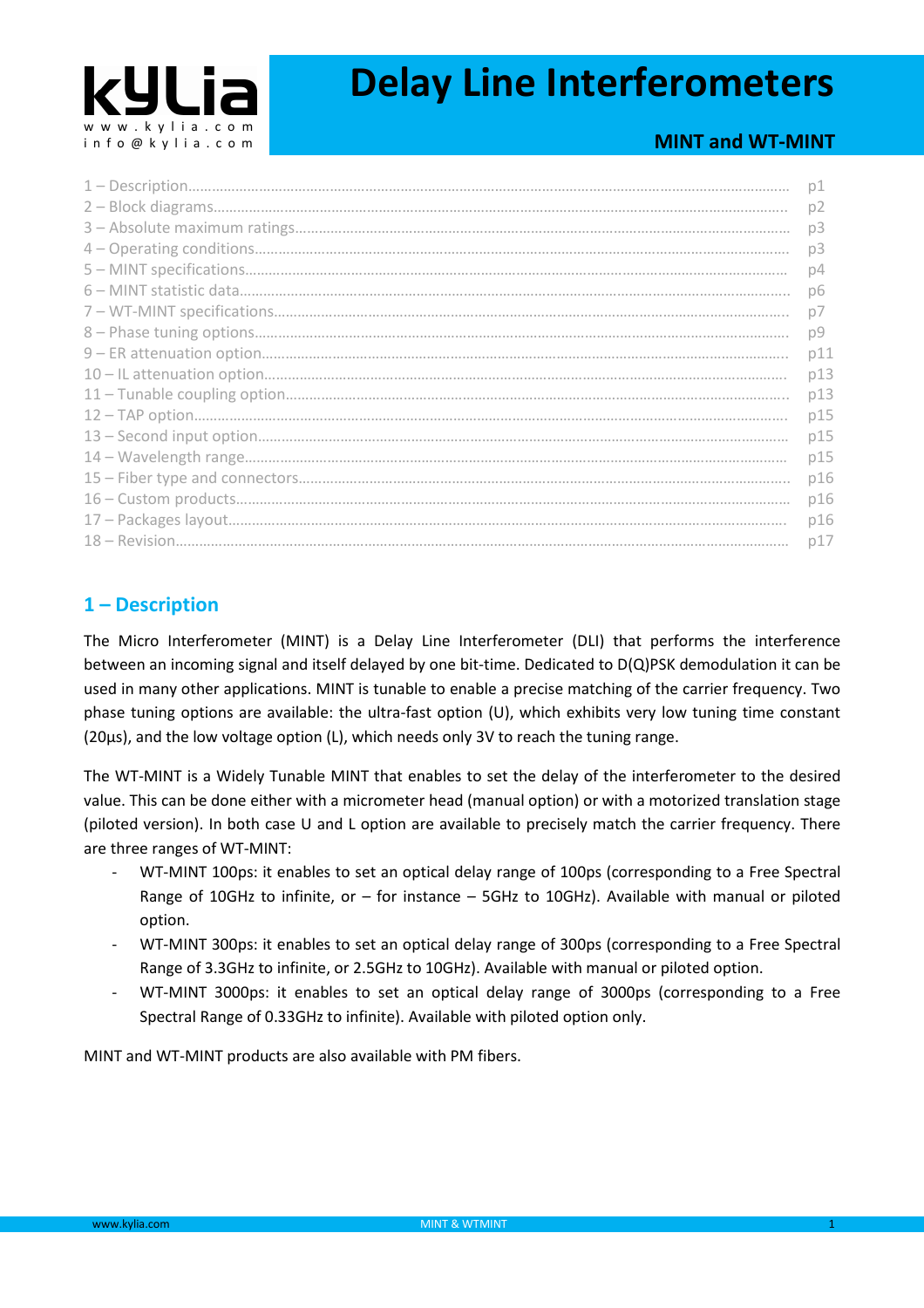

# **Delay Line Interferometers**

## **MINT and WT-MINT**

| p1             |
|----------------|
| p <sub>2</sub> |
| p3             |
| p3             |
| p4             |
| pб             |
| p7             |
| p9             |
| p11            |
| p13            |
| p13            |
| p15            |
| p15            |
| p15            |
| p16            |
| p16            |
| p16            |
| p17            |
|                |

## **1 – Description**

The Micro Interferometer (MINT) is a Delay Line Interferometer (DLI) that performs the interference between an incoming signal and itself delayed by one bit-time. Dedicated to D(Q)PSK demodulation it can be used in many other applications. MINT is tunable to enable a precise matching of the carrier frequency. Two phase tuning options are available: the ultra-fast option (U), which exhibits very low tuning time constant (20µs), and the low voltage option (L), which needs only 3V to reach the tuning range.

The WT-MINT is a Widely Tunable MINT that enables to set the delay of the interferometer to the desired value. This can be done either with a micrometer head (manual option) or with a motorized translation stage (piloted version). In both case U and L option are available to precisely match the carrier frequency. There are three ranges of WT-MINT:

- WT-MINT 100ps: it enables to set an optical delay range of 100ps (corresponding to a Free Spectral Range of 10GHz to infinite, or – for instance – 5GHz to 10GHz). Available with manual or piloted option.
- WT-MINT 300ps: it enables to set an optical delay range of 300ps (corresponding to a Free Spectral Range of 3.3GHz to infinite, or 2.5GHz to 10GHz). Available with manual or piloted option.
- WT-MINT 3000ps: it enables to set an optical delay range of 3000ps (corresponding to a Free Spectral Range of 0.33GHz to infinite). Available with piloted option only.

MINT and WT-MINT products are also available with PM fibers.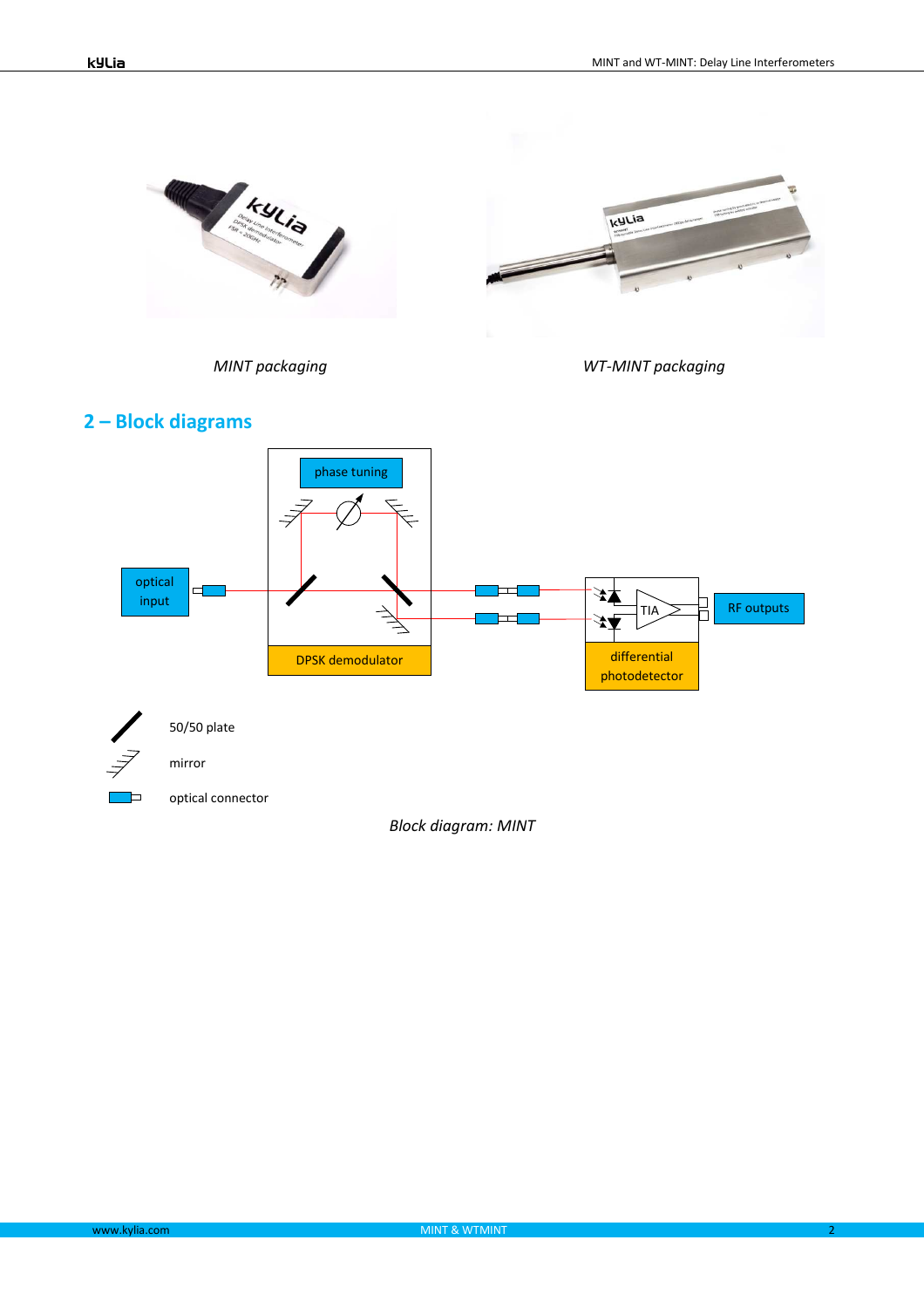

*MINT packaging WT-MINT packaging*

kyLia





optical connector

*Block diagram: MINT*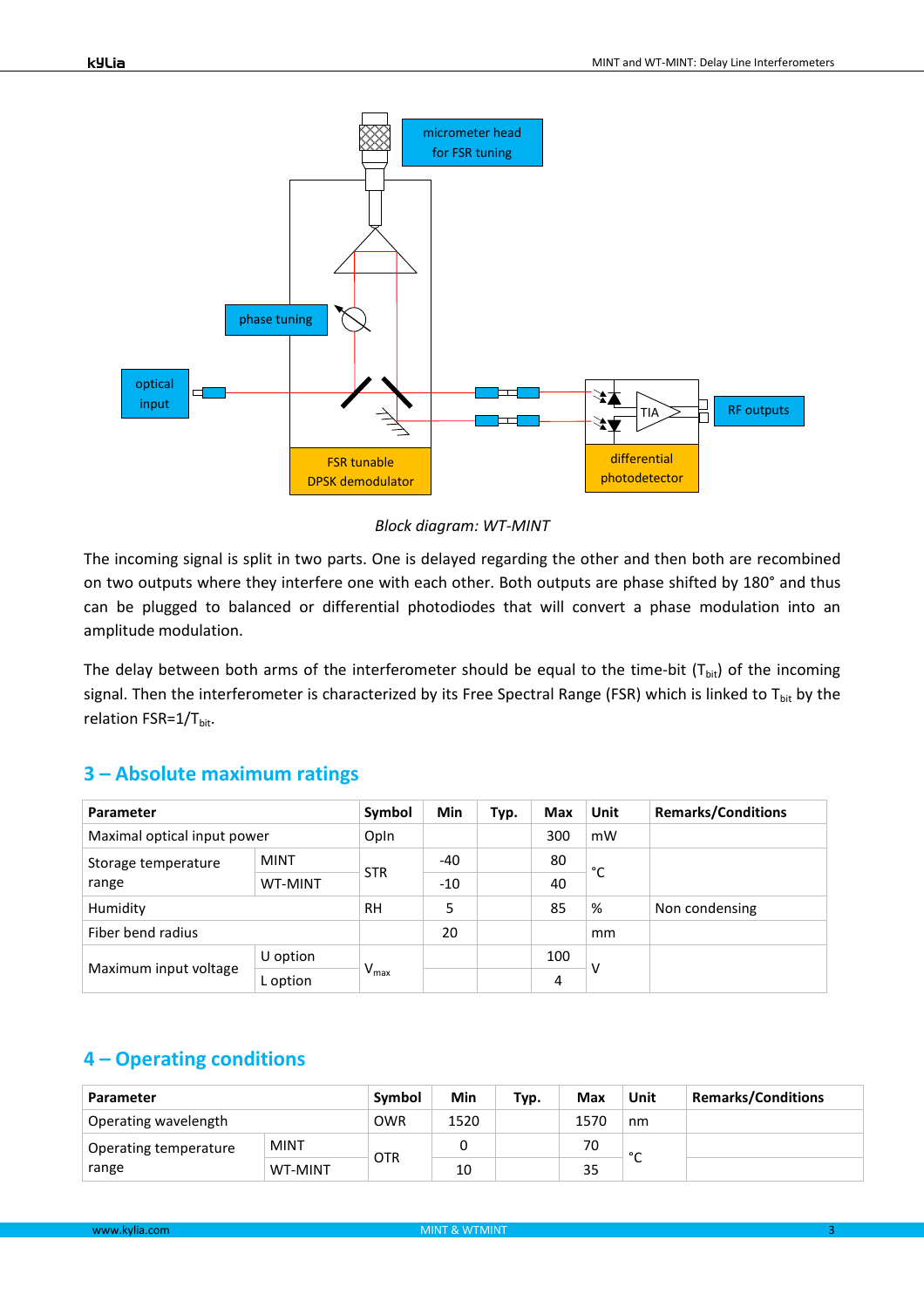

*Block diagram: WT-MINT* 

The incoming signal is split in two parts. One is delayed regarding the other and then both are recombined on two outputs where they interfere one with each other. Both outputs are phase shifted by 180° and thus can be plugged to balanced or differential photodiodes that will convert a phase modulation into an amplitude modulation.

The delay between both arms of the interferometer should be equal to the time-bit  $(T_{bit})$  of the incoming signal. Then the interferometer is characterized by its Free Spectral Range (FSR) which is linked to  $T_{bit}$  by the relation FSR=1/T<sub>bit</sub>.

#### **3 – Absolute maximum ratings**

| Parameter                    |                | Symbol           | Min   | Typ. | <b>Max</b> | Unit | <b>Remarks/Conditions</b> |
|------------------------------|----------------|------------------|-------|------|------------|------|---------------------------|
| Maximal optical input power  |                | Opln             |       |      | 300        | mW   |                           |
| Storage temperature<br>range | <b>MINT</b>    | <b>STR</b>       | $-40$ |      | 80         | °C   |                           |
|                              | <b>WT-MINT</b> |                  | $-10$ |      | 40         |      |                           |
| Humidity                     |                | <b>RH</b>        | 5     |      | 85         | %    | Non condensing            |
| Fiber bend radius            |                |                  | 20    |      |            | mm   |                           |
| Maximum input voltage        | U option       | $V_{\text{max}}$ |       |      | 100        | ٧    |                           |
|                              | L option       |                  |       |      | 4          |      |                           |

## **4 – Operating conditions**

| Parameter             |                | Symbol     | Min  | Typ. | Max  | Unit   | <b>Remarks/Conditions</b> |
|-----------------------|----------------|------------|------|------|------|--------|---------------------------|
| Operating wavelength  |                | <b>OWR</b> | 1520 |      | 1570 | nm     |                           |
| Operating temperature | <b>MINT</b>    | <b>OTR</b> |      |      | 70   | $\sim$ |                           |
| range                 | <b>WT-MINT</b> |            | 10   |      | 35   | ╰      |                           |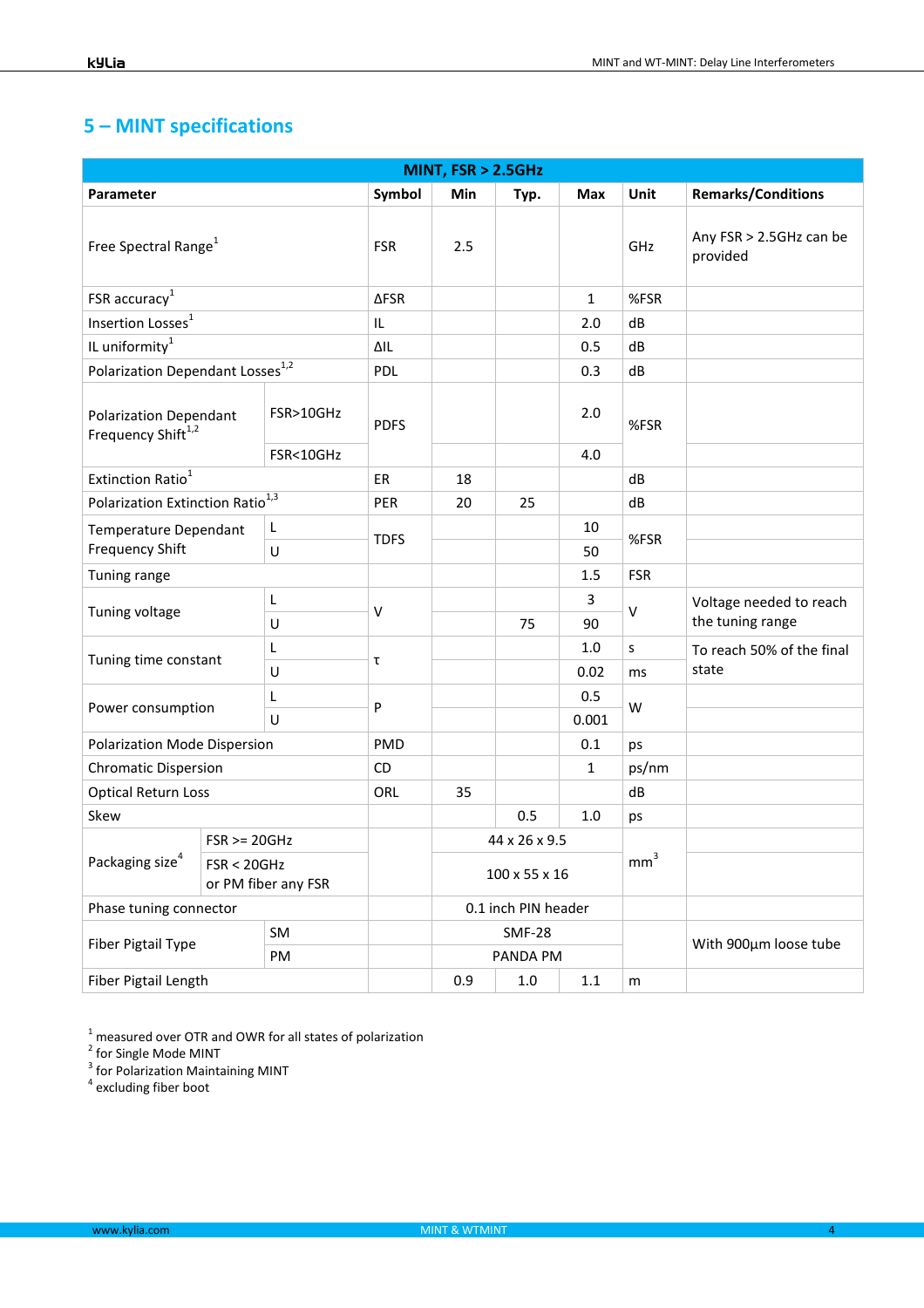# **5 – MINT specifications**

| MINT, FSR > 2.5GHz                                              |                                                       |            |             |               |                     |              |                                     |                                             |
|-----------------------------------------------------------------|-------------------------------------------------------|------------|-------------|---------------|---------------------|--------------|-------------------------------------|---------------------------------------------|
| Parameter                                                       |                                                       |            | Symbol      | Min           | Typ.                | Max          | <b>Unit</b>                         | <b>Remarks/Conditions</b>                   |
| Free Spectral Range <sup>1</sup>                                |                                                       | <b>FSR</b> | 2.5         |               |                     | GHz          | Any FSR > 2.5GHz can be<br>provided |                                             |
| FSR accuracy <sup>1</sup>                                       |                                                       |            | <b>∆FSR</b> |               |                     | $\mathbf{1}$ | %FSR                                |                                             |
| Insertion Losses <sup>1</sup>                                   |                                                       |            | IL.         |               |                     | 2.0          | dB                                  |                                             |
| IL uniformity $^1$                                              |                                                       |            | ΔIL         |               |                     | 0.5          | dB                                  |                                             |
| Polarization Dependant Losses <sup>1,2</sup>                    |                                                       |            | PDL         |               |                     | 0.3          | dB                                  |                                             |
| <b>Polarization Dependant</b><br>Frequency Shift <sup>1,2</sup> |                                                       | FSR>10GHz  | <b>PDFS</b> |               |                     | 2.0          | %FSR                                |                                             |
|                                                                 |                                                       | FSR<10GHz  |             |               |                     | 4.0          |                                     |                                             |
| Extinction Ratio <sup>1</sup>                                   |                                                       |            | ER          | 18            |                     |              | dB                                  |                                             |
| Polarization Extinction Ratio <sup>1,3</sup>                    |                                                       | PER        | 20          | 25            |                     | dB           |                                     |                                             |
| <b>Temperature Dependant</b><br><b>Frequency Shift</b>          |                                                       | L          | <b>TDFS</b> |               |                     | 10           | %FSR                                |                                             |
| U                                                               |                                                       |            |             |               |                     | 50           |                                     |                                             |
| Tuning range                                                    |                                                       |            |             |               | 1.5                 | <b>FSR</b>   |                                     |                                             |
| Tuning voltage                                                  |                                                       | L<br>U     | $\vee$      |               | 75                  | 3<br>90      | $\vee$                              | Voltage needed to reach<br>the tuning range |
| Tuning time constant                                            |                                                       | L          | τ           |               |                     | 1.0          | s                                   | To reach 50% of the final                   |
|                                                                 |                                                       | U          |             |               |                     | 0.02         | ms                                  | state                                       |
| Power consumption                                               |                                                       | L          | ${\sf P}$   |               |                     | 0.5          | W                                   |                                             |
|                                                                 |                                                       | U          |             |               |                     | 0.001        |                                     |                                             |
| Polarization Mode Dispersion                                    |                                                       |            | PMD         |               |                     | 0.1          | ps                                  |                                             |
| <b>Chromatic Dispersion</b>                                     |                                                       |            | CD          |               |                     | $\mathbf{1}$ | ps/nm                               |                                             |
| <b>Optical Return Loss</b>                                      |                                                       | <b>ORL</b> | 35          |               |                     | dB           |                                     |                                             |
| Skew                                                            |                                                       |            |             | 0.5           | 1.0                 | ps           |                                     |                                             |
|                                                                 | $FSR \ge 20GHz$<br>FSR < 20GHz<br>or PM fiber any FSR |            |             |               | 44 x 26 x 9.5       |              |                                     |                                             |
| Packaging size $4$                                              |                                                       |            |             | 100 x 55 x 16 |                     |              | mm <sup>3</sup>                     |                                             |
| Phase tuning connector                                          |                                                       |            |             |               | 0.1 inch PIN header |              |                                     |                                             |
|                                                                 |                                                       | SM         |             |               | <b>SMF-28</b>       |              |                                     |                                             |
| Fiber Pigtail Type                                              |                                                       | PM         |             |               | PANDA PM            |              |                                     | With 900um loose tube                       |
| Fiber Pigtail Length                                            |                                                       |            |             | 0.9           | $1.0\,$             | $1.1\,$      | m                                   |                                             |

<sup>1</sup> measured over OTR and OWR for all states of polarization<br>
<sup>2</sup> for Single Mode MINT<br>
<sup>3</sup> for Polarization Maintaining MINT<br><sup>4</sup> excluding fiber boot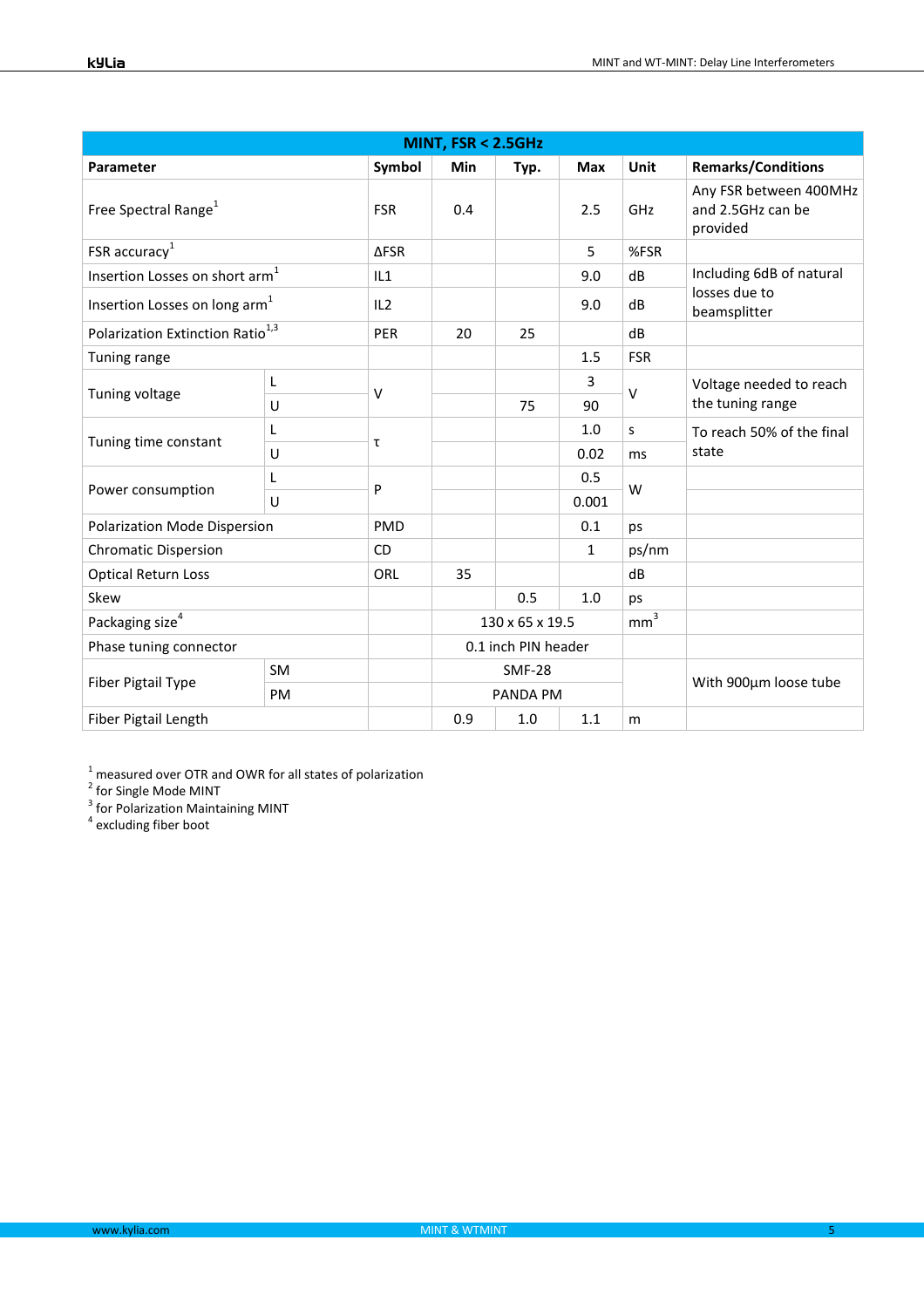| MINT, FSR < 2.5GHz                           |    |             |                 |                     |       |                 |                                                         |
|----------------------------------------------|----|-------------|-----------------|---------------------|-------|-----------------|---------------------------------------------------------|
| Parameter                                    |    | Symbol      | Min             | Typ.                | Max   | Unit            | <b>Remarks/Conditions</b>                               |
| Free Spectral Range <sup>1</sup>             |    | <b>FSR</b>  | 0.4             |                     | 2.5   | GHz             | Any FSR between 400MHz<br>and 2.5GHz can be<br>provided |
| FSR accuracy $1$                             |    | <b>AFSR</b> |                 |                     | 5     | %FSR            |                                                         |
| Insertion Losses on short arm <sup>1</sup>   |    | IL1         |                 |                     | 9.0   | dB              | Including 6dB of natural                                |
| Insertion Losses on long arm <sup>1</sup>    |    | IL2         |                 |                     | 9.0   | dB              | losses due to<br>beamsplitter                           |
| Polarization Extinction Ratio <sup>1,3</sup> |    | <b>PER</b>  | 20              | 25                  |       | dB              |                                                         |
| Tuning range                                 |    |             |                 |                     | 1.5   | <b>FSR</b>      |                                                         |
|                                              | L  |             |                 |                     | 3     |                 | Voltage needed to reach<br>the tuning range             |
| Tuning voltage                               | U  | $\vee$      |                 | 75                  | 90    | $\vee$          |                                                         |
| Tuning time constant                         | L  | τ           |                 |                     | 1.0   | S               | To reach 50% of the final                               |
|                                              | U  |             | 0.02<br>ms      |                     | state |                 |                                                         |
| Power consumption                            | L  | P           |                 |                     | 0.5   | W               |                                                         |
|                                              | U  |             |                 |                     | 0.001 |                 |                                                         |
| Polarization Mode Dispersion                 |    | PMD         |                 |                     | 0.1   | ps              |                                                         |
| <b>Chromatic Dispersion</b>                  |    | <b>CD</b>   |                 |                     | 1     | ps/nm           |                                                         |
| <b>Optical Return Loss</b>                   |    | ORL         | 35              |                     |       | dB              |                                                         |
| Skew                                         |    |             |                 | 0.5                 | 1.0   | ps              |                                                         |
| Packaging size <sup>4</sup>                  |    |             | 130 x 65 x 19.5 |                     |       | mm <sup>3</sup> |                                                         |
| Phase tuning connector                       |    |             |                 | 0.1 inch PIN header |       |                 |                                                         |
| <b>Fiber Pigtail Type</b>                    | SM |             |                 | <b>SMF-28</b>       |       |                 | With 900µm loose tube                                   |
|                                              | PM |             |                 | PANDA PM            |       |                 |                                                         |
| Fiber Pigtail Length                         |    |             | 0.9             | 1.0                 | 1.1   | m               |                                                         |

<sup>1</sup> measured over OTR and OWR for all states of polarization<br>
<sup>2</sup> for Single Mode MINT<br>
<sup>3</sup> for Polarization Maintaining MINT<br>
<sup>4</sup> excluding fiber boot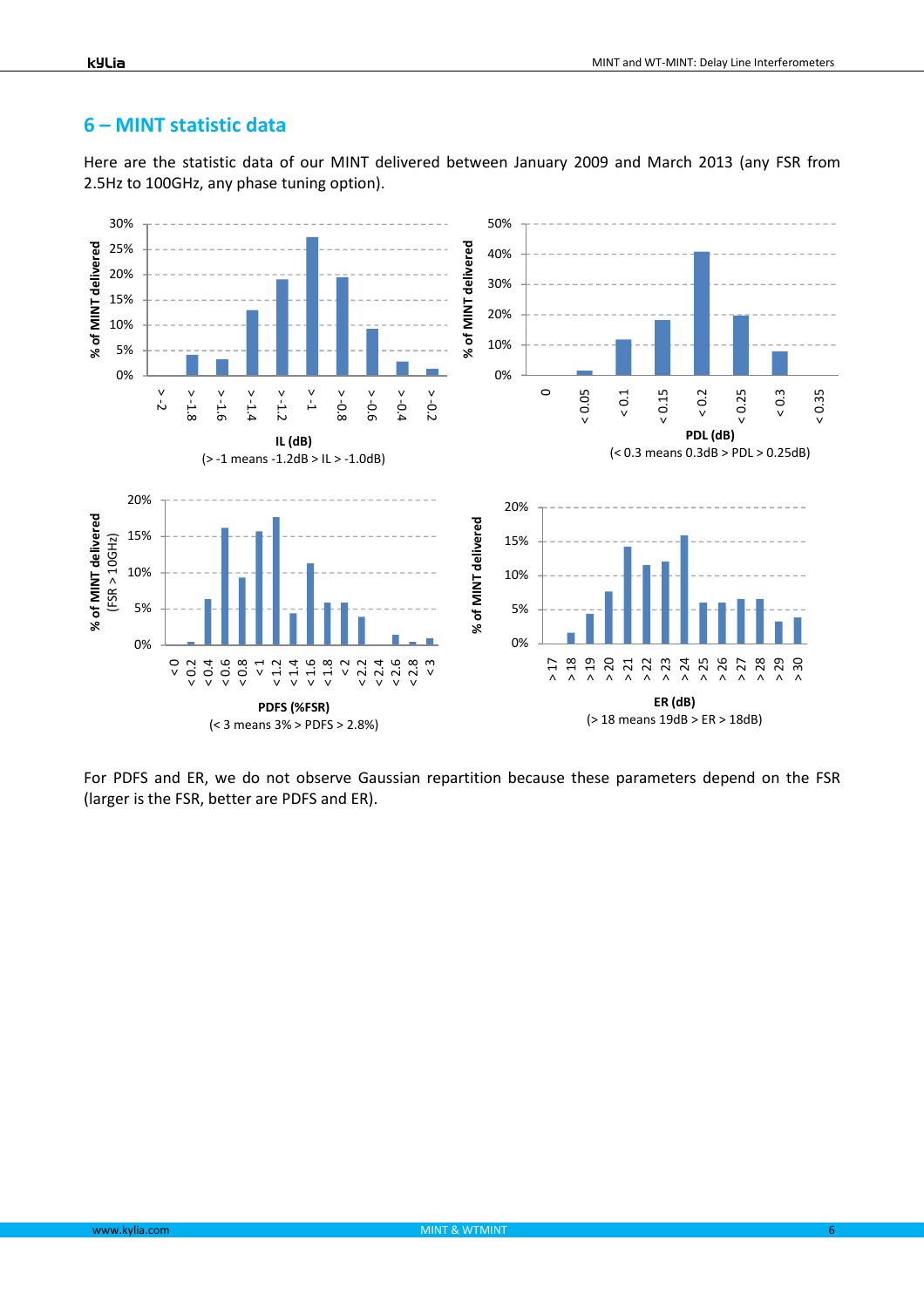#### **6 – MINT statistic data**

Here are the statistic data of our MINT delivered between January 2009 and March 2013 (any FSR from 2.5Hz to 100GHz, any phase tuning option).



For PDFS and ER, we do not observe Gaussian repartition because these parameters depend on the FSR (larger is the FSR, better are PDFS and ER).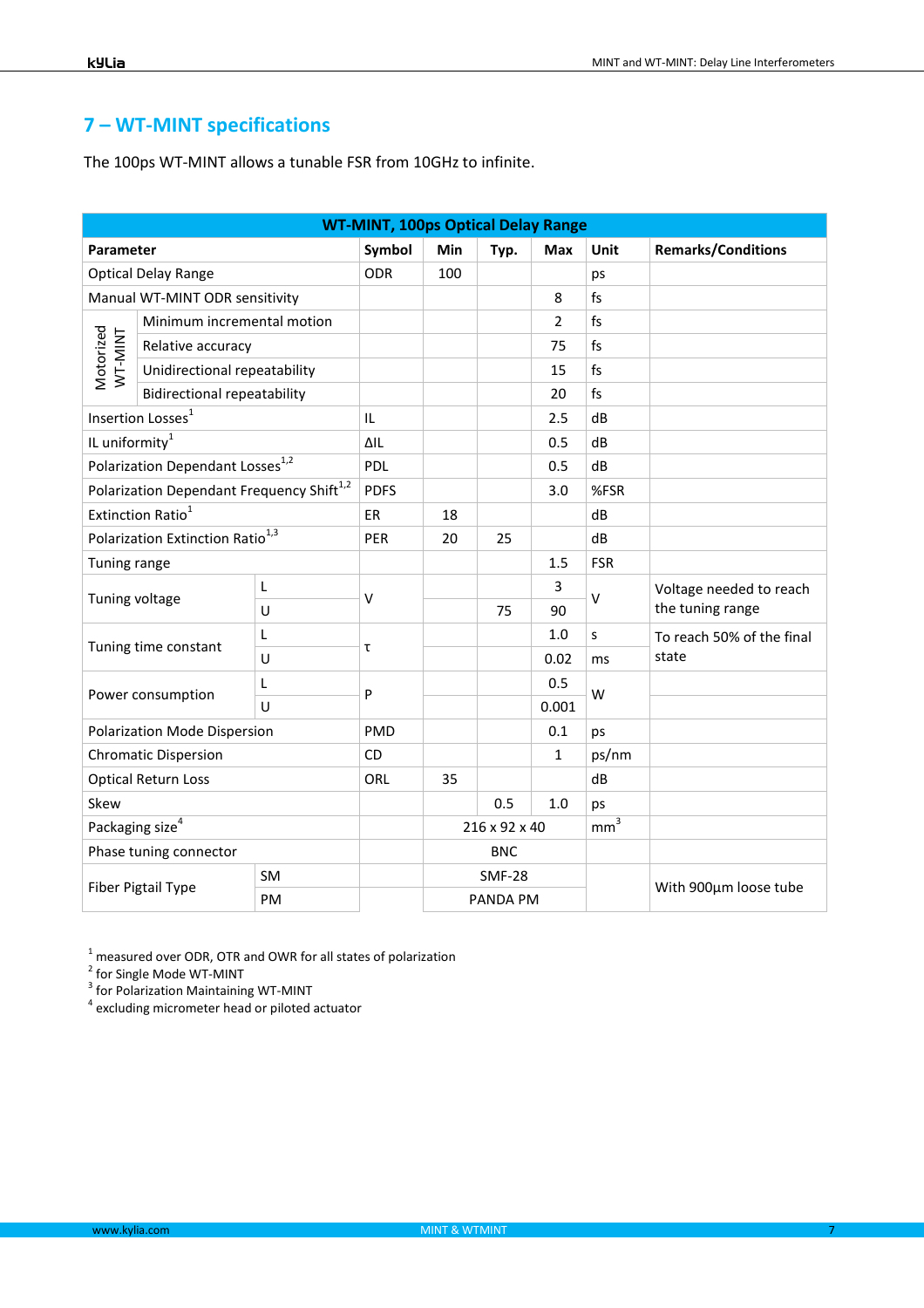## **7 – WT-MINT specifications**

The 100ps WT-MINT allows a tunable FSR from 10GHz to infinite.

| <b>WT-MINT, 100ps Optical Delay Range</b>    |                                                       |           |             |     |               |                |                |                                             |
|----------------------------------------------|-------------------------------------------------------|-----------|-------------|-----|---------------|----------------|----------------|---------------------------------------------|
| Parameter                                    |                                                       |           | Symbol      | Min | Typ.          | Max            | Unit           | <b>Remarks/Conditions</b>                   |
|                                              | <b>Optical Delay Range</b>                            |           | <b>ODR</b>  | 100 |               |                | ps             |                                             |
|                                              | Manual WT-MINT ODR sensitivity                        |           |             |     |               | 8              | f <sub>S</sub> |                                             |
|                                              | Minimum incremental motion                            |           |             |     |               | $\overline{2}$ | fs             |                                             |
| Motorized<br>WT-MINT                         | Relative accuracy                                     |           |             |     |               | 75             | fs             |                                             |
|                                              | Unidirectional repeatability                          |           |             |     |               | 15             | fs             |                                             |
|                                              | <b>Bidirectional repeatability</b>                    |           |             |     |               | 20             | f <sub>S</sub> |                                             |
|                                              | Insertion Losses <sup>1</sup>                         |           | IL          |     |               | 2.5            | dB             |                                             |
| IL uniformity <sup>1</sup>                   |                                                       |           | $\Delta$ ll |     |               | 0.5            | dB             |                                             |
|                                              | Polarization Dependant Losses <sup>1,2</sup>          |           | PDL         |     |               | 0.5            | dB             |                                             |
|                                              | Polarization Dependant Frequency Shift <sup>1,2</sup> |           | <b>PDFS</b> |     |               | 3.0            | %FSR           |                                             |
| Extinction Ratio <sup>1</sup>                |                                                       | ER        | 18          |     |               | dB             |                |                                             |
| Polarization Extinction Ratio <sup>1,3</sup> |                                                       | PER       | 20          | 25  |               | dB             |                |                                             |
| Tuning range                                 |                                                       |           |             |     | 1.5           | <b>FSR</b>     |                |                                             |
| Tuning voltage                               |                                                       | L         | $\vee$      |     |               | 3              | $\vee$         | Voltage needed to reach<br>the tuning range |
|                                              |                                                       | U         |             |     | 75            | 90             |                |                                             |
|                                              | Tuning time constant                                  | L         |             |     |               | 1.0            | S              | To reach 50% of the final                   |
|                                              |                                                       | U         | $\mathsf T$ |     |               | 0.02           | ms             | state                                       |
|                                              | Power consumption                                     | L         | P           |     |               | 0.5            | W              |                                             |
|                                              | $\cup$                                                |           |             |     |               | 0.001          |                |                                             |
|                                              | Polarization Mode Dispersion                          |           | PMD         |     |               | 0.1            | ps             |                                             |
| <b>Chromatic Dispersion</b>                  |                                                       | CD        |             |     | 1             | ps/nm          |                |                                             |
|                                              | <b>Optical Return Loss</b>                            |           | ORL         | 35  |               |                | dB             |                                             |
| Skew                                         |                                                       |           |             | 0.5 | 1.0           | ps             |                |                                             |
|                                              | Packaging size $4$                                    |           |             |     | 216 x 92 x 40 |                | $mm^3$         |                                             |
|                                              | Phase tuning connector                                |           |             |     | <b>BNC</b>    |                |                |                                             |
|                                              |                                                       | <b>SM</b> |             |     | <b>SMF-28</b> |                |                |                                             |
| Fiber Pigtail Type                           |                                                       | PM        |             |     | PANDA PM      |                |                | With 900µm loose tube                       |

 $^1$  measured over ODR, OTR and OWR for all states of polarization<br><sup>2</sup> for Single Mode WT-MINT

<sup>3</sup> for Polarization Maintaining WT-MINT

<sup>4</sup> excluding micrometer head or piloted actuator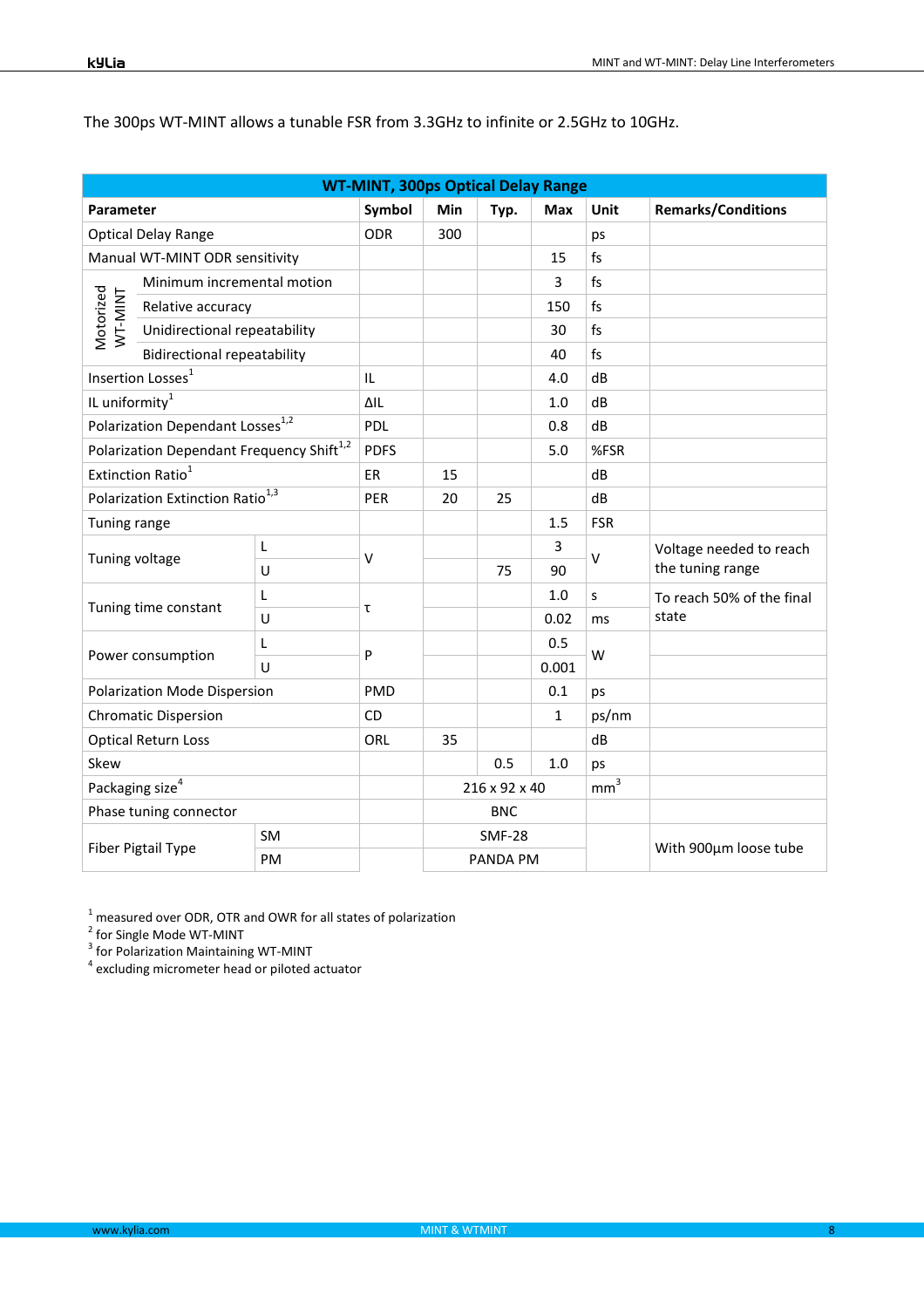| <b>WT-MINT, 300ps Optical Delay Range</b>    |                                                                                                                                                                                                                                                      |                                                                                                                                                                                                                                                                             |                  |               |              |                           |                                             |
|----------------------------------------------|------------------------------------------------------------------------------------------------------------------------------------------------------------------------------------------------------------------------------------------------------|-----------------------------------------------------------------------------------------------------------------------------------------------------------------------------------------------------------------------------------------------------------------------------|------------------|---------------|--------------|---------------------------|---------------------------------------------|
|                                              |                                                                                                                                                                                                                                                      | Symbol                                                                                                                                                                                                                                                                      | Min              | Typ.          | Max          | Unit                      | <b>Remarks/Conditions</b>                   |
|                                              |                                                                                                                                                                                                                                                      | <b>ODR</b>                                                                                                                                                                                                                                                                  | 300              |               |              | ps                        |                                             |
|                                              |                                                                                                                                                                                                                                                      |                                                                                                                                                                                                                                                                             |                  |               | 15           | fs                        |                                             |
|                                              |                                                                                                                                                                                                                                                      |                                                                                                                                                                                                                                                                             |                  |               | 3            | f <sub>S</sub>            |                                             |
| Relative accuracy                            |                                                                                                                                                                                                                                                      |                                                                                                                                                                                                                                                                             |                  |               | 150          | fs                        |                                             |
|                                              |                                                                                                                                                                                                                                                      |                                                                                                                                                                                                                                                                             |                  |               | 30           | f <sub>S</sub>            |                                             |
|                                              |                                                                                                                                                                                                                                                      |                                                                                                                                                                                                                                                                             |                  |               | 40           | fs                        |                                             |
|                                              |                                                                                                                                                                                                                                                      | IL                                                                                                                                                                                                                                                                          |                  |               | 4.0          | dB                        |                                             |
|                                              |                                                                                                                                                                                                                                                      | ΔIL                                                                                                                                                                                                                                                                         |                  |               | 1.0          | dB                        |                                             |
|                                              |                                                                                                                                                                                                                                                      | PDL                                                                                                                                                                                                                                                                         |                  |               | 0.8          | dB                        |                                             |
|                                              |                                                                                                                                                                                                                                                      | <b>PDFS</b>                                                                                                                                                                                                                                                                 |                  |               | 5.0          | %FSR                      |                                             |
| Extinction Ratio <sup>1</sup>                |                                                                                                                                                                                                                                                      | ER                                                                                                                                                                                                                                                                          | 15               |               |              | dB                        |                                             |
| Polarization Extinction Ratio <sup>1,3</sup> |                                                                                                                                                                                                                                                      | PER                                                                                                                                                                                                                                                                         | 20               | 25            |              | dB                        |                                             |
| Tuning range                                 |                                                                                                                                                                                                                                                      |                                                                                                                                                                                                                                                                             |                  |               | 1.5          | <b>FSR</b>                |                                             |
|                                              | L                                                                                                                                                                                                                                                    |                                                                                                                                                                                                                                                                             |                  |               | 3            | v                         | Voltage needed to reach<br>the tuning range |
|                                              | U                                                                                                                                                                                                                                                    |                                                                                                                                                                                                                                                                             |                  | 75            | 90           |                           |                                             |
|                                              | L                                                                                                                                                                                                                                                    |                                                                                                                                                                                                                                                                             |                  |               | 1.0          | S                         | To reach 50% of the final                   |
|                                              | U                                                                                                                                                                                                                                                    |                                                                                                                                                                                                                                                                             |                  |               | 0.02         | ms                        | state                                       |
|                                              | L                                                                                                                                                                                                                                                    |                                                                                                                                                                                                                                                                             |                  |               | 0.5          |                           |                                             |
|                                              | U                                                                                                                                                                                                                                                    |                                                                                                                                                                                                                                                                             |                  | 0.001         |              |                           |                                             |
|                                              |                                                                                                                                                                                                                                                      | PMD                                                                                                                                                                                                                                                                         |                  |               | 0.1          | ps                        |                                             |
| <b>Chromatic Dispersion</b>                  |                                                                                                                                                                                                                                                      | <b>CD</b>                                                                                                                                                                                                                                                                   |                  |               | $\mathbf{1}$ | ps/nm                     |                                             |
|                                              |                                                                                                                                                                                                                                                      | ORL                                                                                                                                                                                                                                                                         | 35               |               |              | dB                        |                                             |
| Skew                                         |                                                                                                                                                                                                                                                      |                                                                                                                                                                                                                                                                             |                  | 0.5           | 1.0          | ps                        |                                             |
|                                              |                                                                                                                                                                                                                                                      |                                                                                                                                                                                                                                                                             |                  |               |              | mm <sup>3</sup>           |                                             |
|                                              |                                                                                                                                                                                                                                                      |                                                                                                                                                                                                                                                                             |                  | <b>BNC</b>    |              |                           |                                             |
|                                              | <b>SM</b>                                                                                                                                                                                                                                            |                                                                                                                                                                                                                                                                             |                  | <b>SMF-28</b> |              |                           |                                             |
| <b>Fiber Pigtail Type</b>                    | PM                                                                                                                                                                                                                                                   |                                                                                                                                                                                                                                                                             |                  |               |              |                           | With 900um loose tube                       |
|                                              | Parameter<br><b>Optical Delay Range</b><br>Insertion Losses <sup>1</sup><br>IL uniformity $^1$<br>Tuning voltage<br>Tuning time constant<br>Power consumption<br><b>Optical Return Loss</b><br>Packaging size <sup>4</sup><br>Phase tuning connector | Manual WT-MINT ODR sensitivity<br>Minimum incremental motion<br>Unidirectional repeatability<br><b>Bidirectional repeatability</b><br>Polarization Dependant Losses <sup>1,2</sup><br>Polarization Dependant Frequency Shift <sup>1,2</sup><br>Polarization Mode Dispersion | $\vee$<br>τ<br>P |               |              | 216 x 92 x 40<br>PANDA PM | W                                           |

The 300ps WT-MINT allows a tunable FSR from 3.3GHz to infinite or 2.5GHz to 10GHz.

<sup>1</sup> measured over ODR, OTR and OWR for all states of polarization<br><sup>2</sup> for Single Mode WT-MINT<br><sup>3</sup> for Polarization Maintaining WT-MINT<br><sup>4</sup> excluding micrometer head or piloted actuator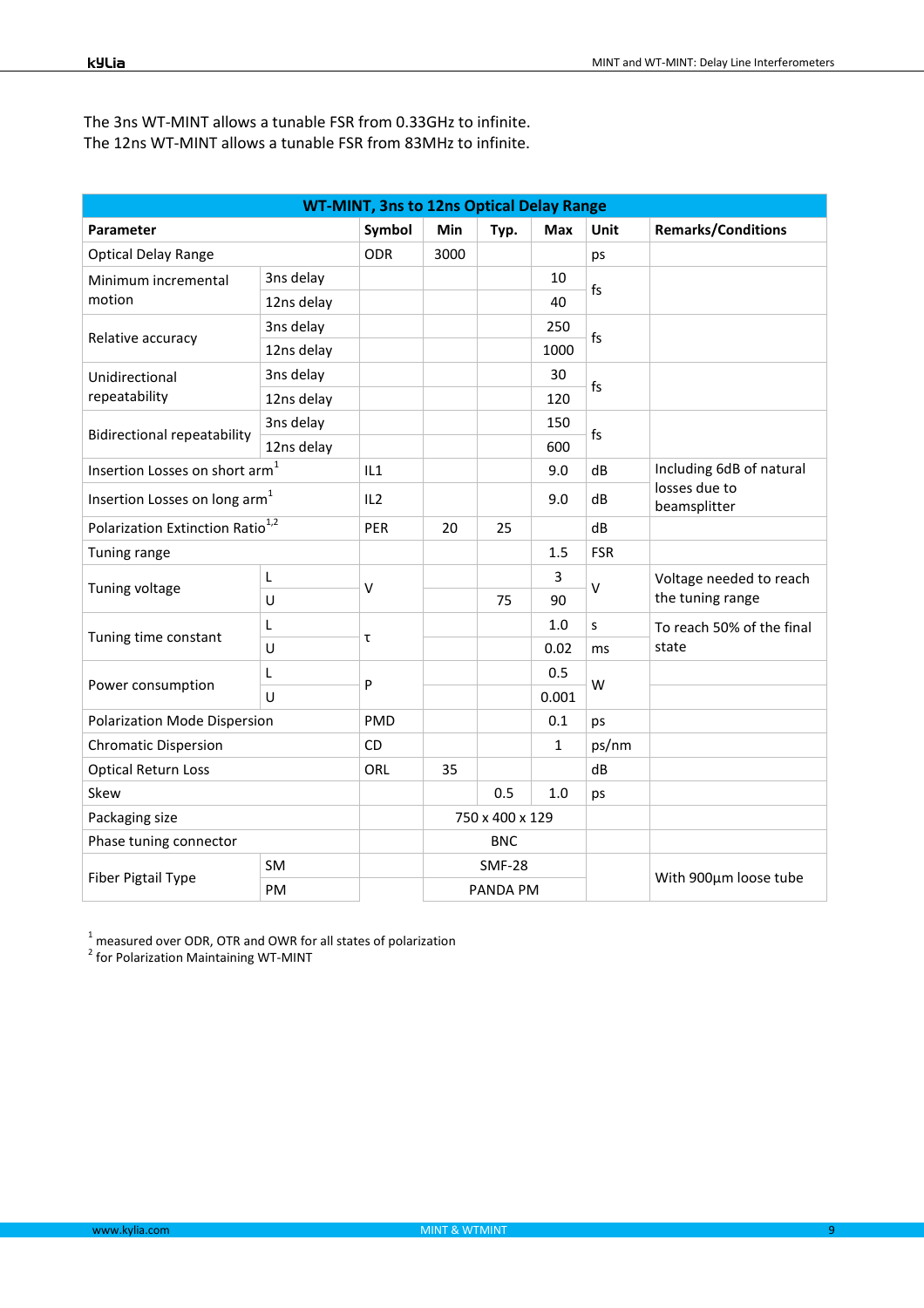| <b>WT-MINT, 3ns to 12ns Optical Delay Range</b> |            |              |                 |               |              |            |                                             |
|-------------------------------------------------|------------|--------------|-----------------|---------------|--------------|------------|---------------------------------------------|
| Parameter                                       |            | Symbol       | Min             | Typ.          | Max          | Unit       | <b>Remarks/Conditions</b>                   |
| <b>Optical Delay Range</b>                      |            | <b>ODR</b>   | 3000            |               |              | ps         |                                             |
| Minimum incremental                             | 3ns delay  |              |                 |               | 10           | fs         |                                             |
| motion                                          | 12ns delay |              |                 |               | 40           |            |                                             |
| Relative accuracy                               | 3ns delay  |              |                 |               | 250          | fs         |                                             |
|                                                 | 12ns delay |              |                 |               | 1000         |            |                                             |
| Unidirectional                                  | 3ns delay  |              |                 |               | 30           | fs         |                                             |
| repeatability                                   | 12ns delay |              |                 |               | 120          |            |                                             |
|                                                 | 3ns delay  |              |                 |               | 150          | fs         |                                             |
| <b>Bidirectional repeatability</b>              | 12ns delay |              |                 |               | 600          |            |                                             |
| Insertion Losses on short $\mathsf{arm}^1$      |            | IL1          |                 |               | 9.0          | dB         | Including 6dB of natural                    |
| Insertion Losses on long arm <sup>1</sup>       |            | IL2          |                 |               | 9.0          | dB         | losses due to<br>beamsplitter               |
| Polarization Extinction Ratio <sup>1,2</sup>    |            | PER          | 20              | 25            |              | dB         |                                             |
| Tuning range                                    |            |              |                 |               | 1.5          | <b>FSR</b> |                                             |
|                                                 | L          | $\vee$       |                 |               | 3            | v          | Voltage needed to reach<br>the tuning range |
| Tuning voltage                                  | U          |              |                 | 75            | 90           |            |                                             |
|                                                 | L          |              |                 |               | 1.0          | S          | To reach 50% of the final                   |
| Tuning time constant                            | U          | τ            |                 |               | 0.02         | ms         | state                                       |
|                                                 | L          | $\mathsf{P}$ | 0.5             | W             |              |            |                                             |
| Power consumption                               | U          |              |                 |               | 0.001        |            |                                             |
| Polarization Mode Dispersion                    |            | PMD          |                 |               | 0.1          | ps         |                                             |
| <b>Chromatic Dispersion</b>                     |            | CD           |                 |               | $\mathbf{1}$ | ps/nm      |                                             |
| <b>Optical Return Loss</b>                      |            | ORL          | 35              |               |              | dB         |                                             |
| Skew                                            |            |              |                 | 0.5           | 1.0          | ps         |                                             |
| Packaging size                                  |            |              | 750 x 400 x 129 |               |              |            |                                             |
| Phase tuning connector                          |            |              | <b>BNC</b>      |               |              |            |                                             |
|                                                 | <b>SM</b>  |              |                 | <b>SMF-28</b> |              |            |                                             |
| Fiber Pigtail Type                              | <b>PM</b>  |              |                 | PANDA PM      |              |            | With 900µm loose tube                       |

The 3ns WT-MINT allows a tunable FSR from 0.33GHz to infinite. The 12ns WT-MINT allows a tunable FSR from 83MHz to infinite.

<sup>1</sup> measured over ODR, OTR and OWR for all states of polarization<br><sup>2</sup> for Polarization Maintaining WT-MINT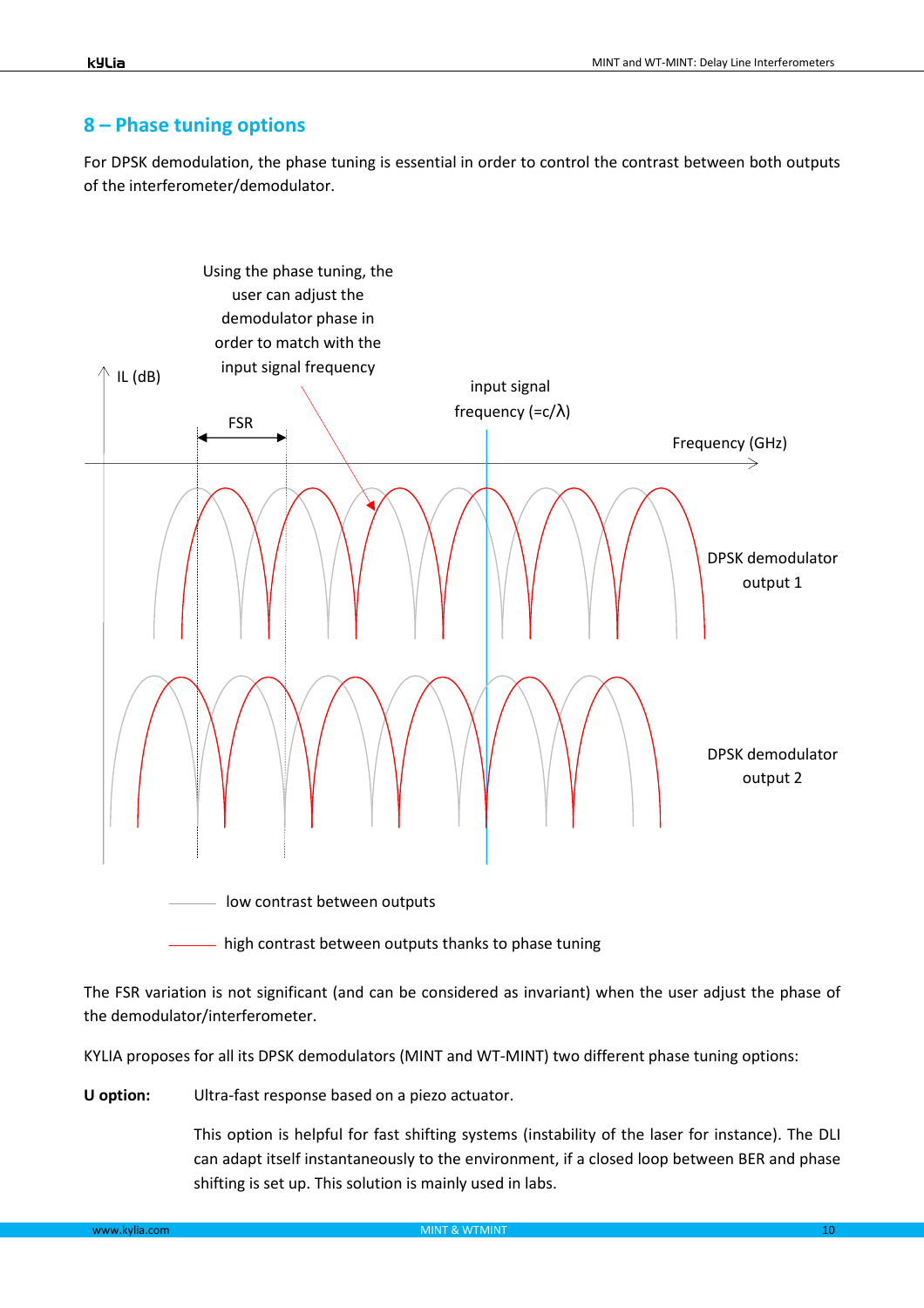#### **8 – Phase tuning options**

For DPSK demodulation, the phase tuning is essential in order to control the contrast between both outputs of the interferometer/demodulator.



- high contrast between outputs thanks to phase tuning

The FSR variation is not significant (and can be considered as invariant) when the user adjust the phase of the demodulator/interferometer.

KYLIA proposes for all its DPSK demodulators (MINT and WT-MINT) two different phase tuning options:

**U option:** Ultra-fast response based on a piezo actuator.

This option is helpful for fast shifting systems (instability of the laser for instance). The DLI can adapt itself instantaneously to the environment, if a closed loop between BER and phase shifting is set up. This solution is mainly used in labs.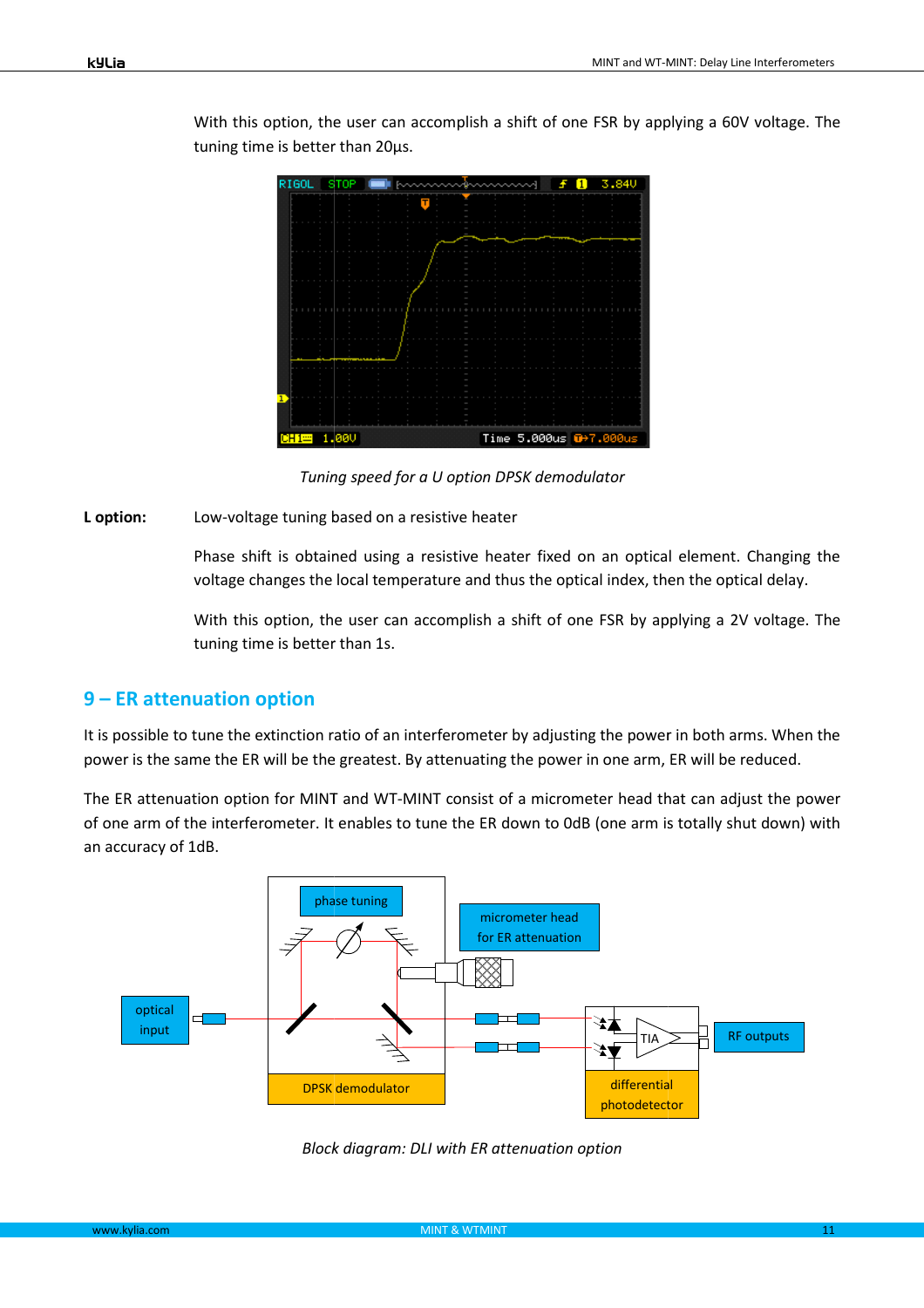

With this option, the user can accomplish a shift of one FSR by applying a 60V voltage. The tuning time is better than 20µs.

*Tuning speed for a U option DPSK demodulator*

**L option:** Low-voltage tuning based on a resistive heater

Phase shift is obtained using a resistive heater fixed on an optical element. Changing the voltage changes the local temperature and thus the optical index, then the optical delay.

With this option, the user can accomplish a shift of one FSR by applying a 2V voltage. The tuning time is better than 1s.

#### **9 – ER attenuation option**

It is possible to tune the extinction ratio of an interferometer by adjusting the power in both arms. When the power is the same the ER will be the greatest. By attenuating the power in one arm, ER will be reduced.

The ER attenuation option for MINT and WT-MINT consist of a micrometer head that can adjust the power of one arm of the interferometer. It enables to tune the ER down to 0dB (one arm is totally shut down) with an accuracy of 1dB.

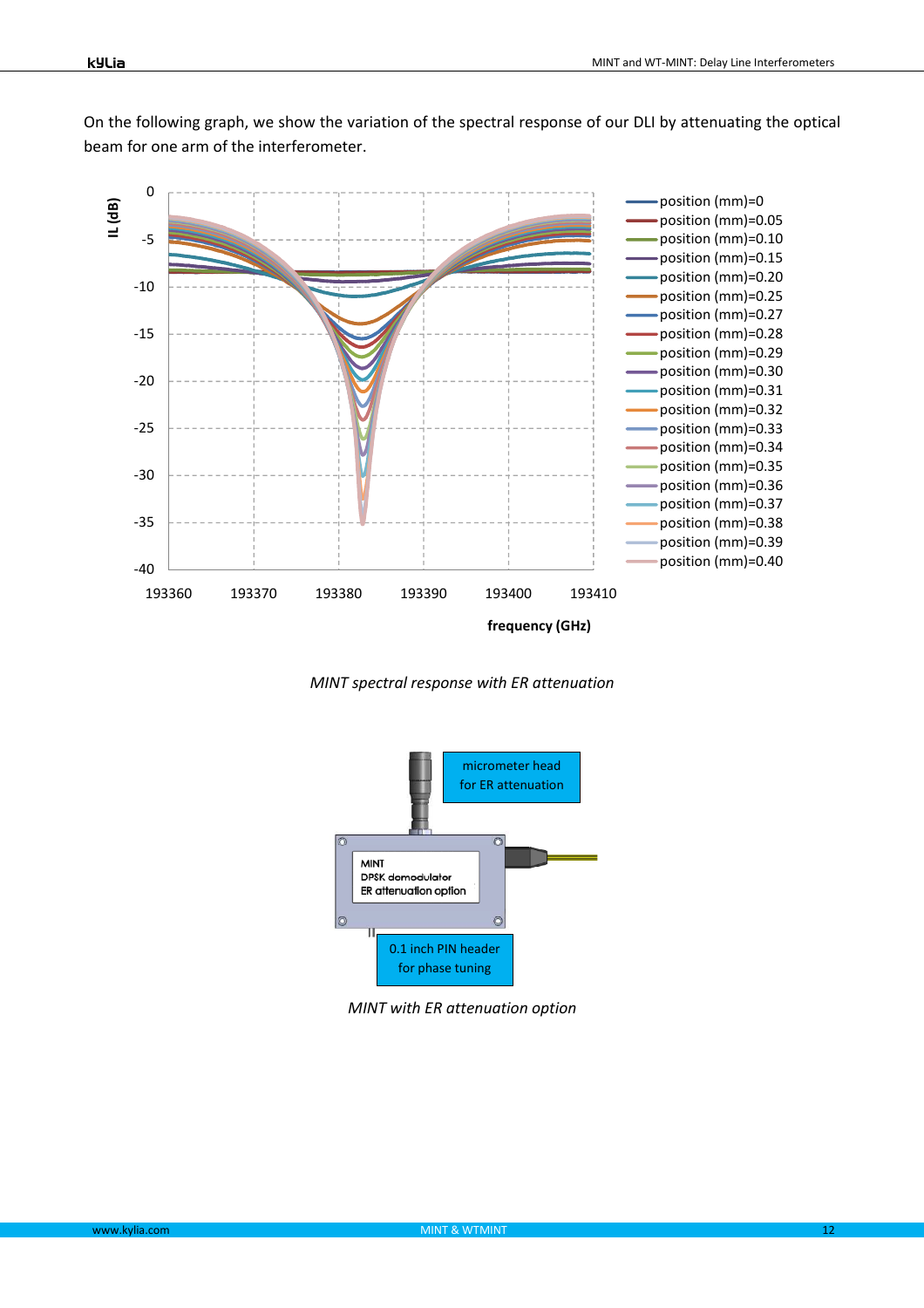On the following graph, we show the variation of the spectral response of our DLI by attenuating the optical beam for one arm of the interferometer.



*MINT spectral response with ER attenuation* 



*MINT with ER attenuation option*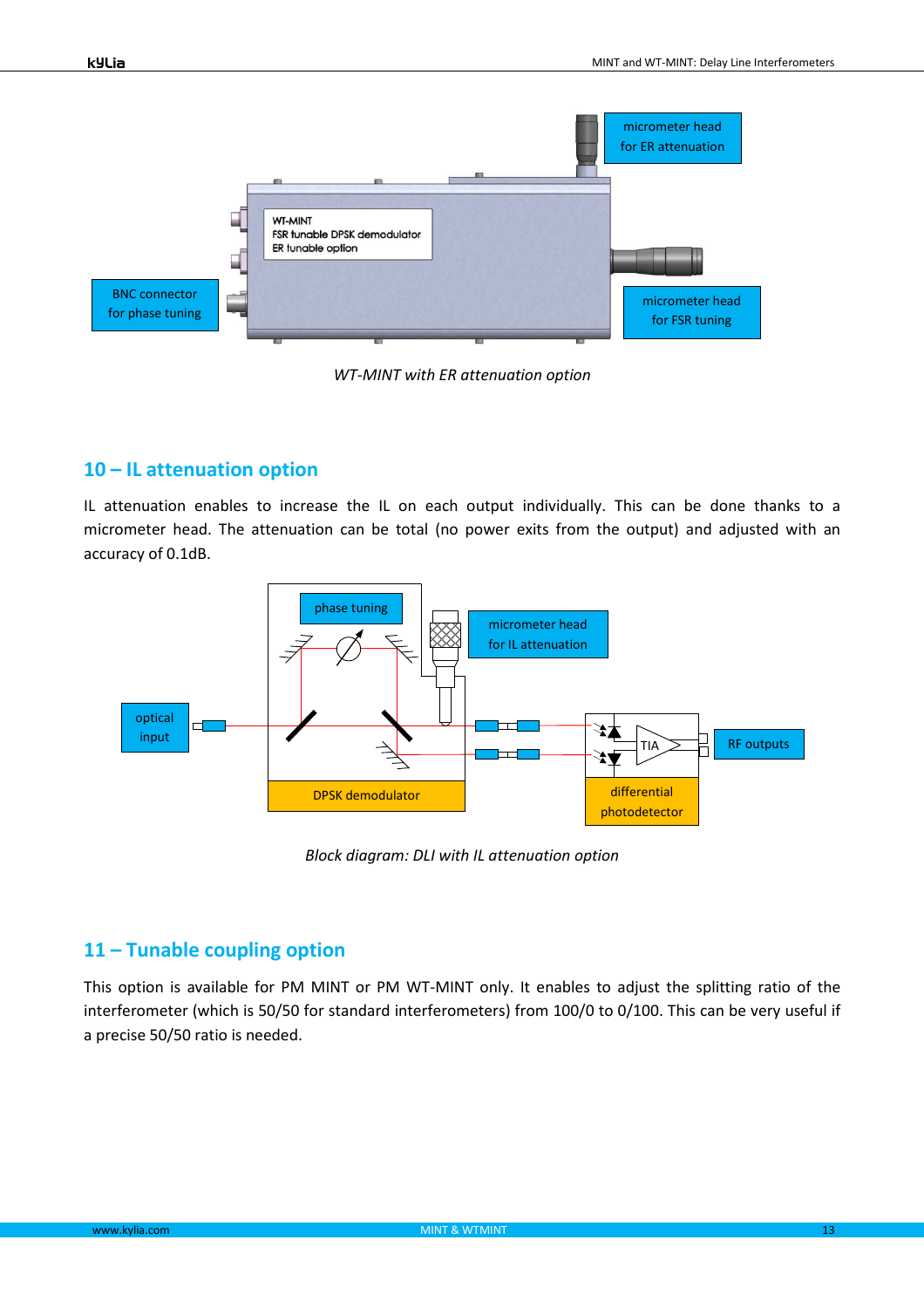

*WT-MINT with ER attenuation option* 

## **10 – IL attenuation option**

IL attenuation enables to increase the IL on each output individually. This can be done thanks to a micrometer head. The attenuation can be total (no power exits from the output) and adjusted with an accuracy of 0.1dB.



*Block diagram: DLI with IL attenuation option* 

## **11 – Tunable coupling option**

This option is available for PM MINT or PM WT-MINT only. It enables to adjust the splitting ratio of the interferometer (which is 50/50 for standard interferometers) from 100/0 to 0/100. This can be very useful if a precise 50/50 ratio is needed.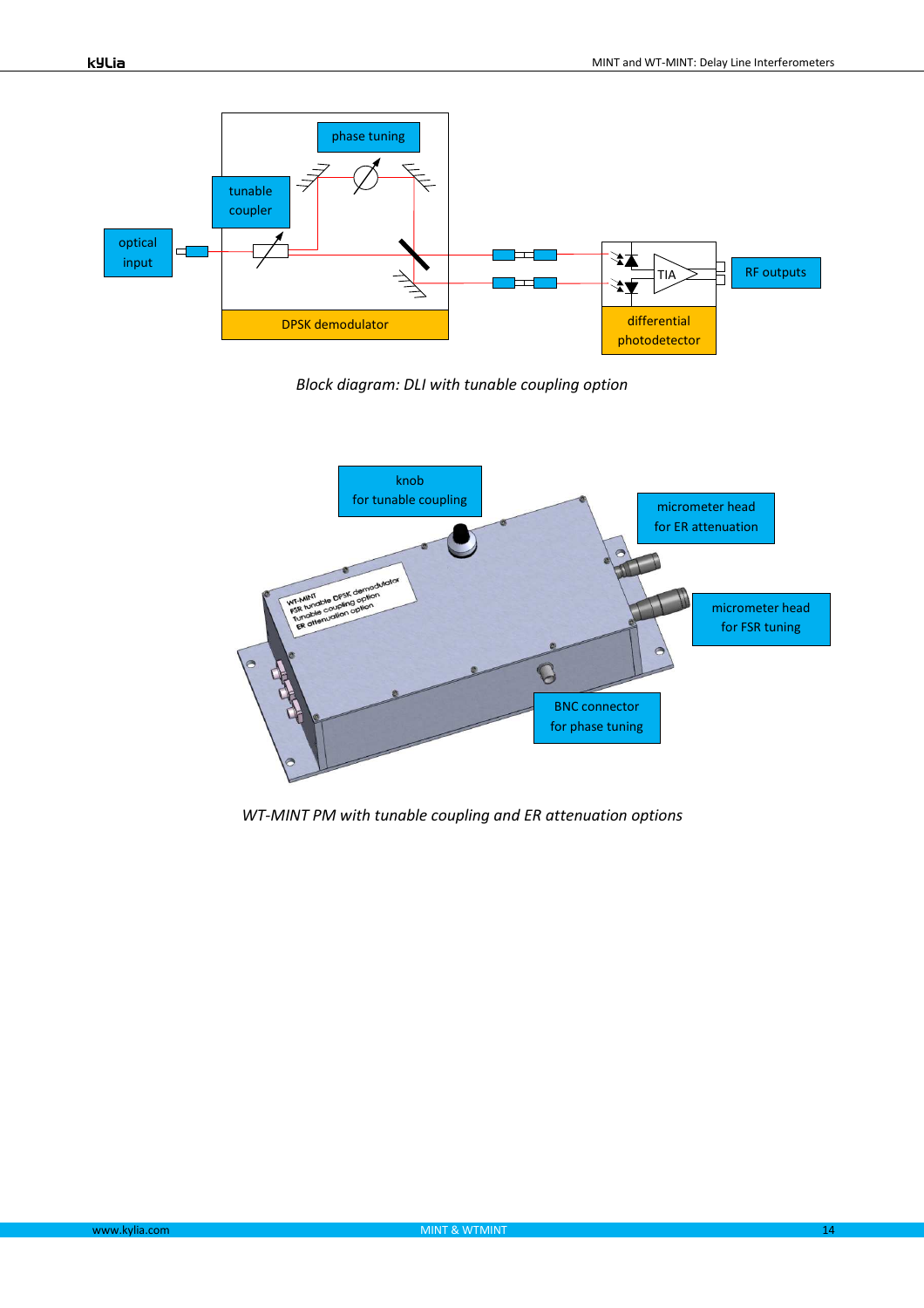

*Block diagram: DLI with tunable coupling option* 



*WT-MINT PM with tunable coupling and ER attenuation options*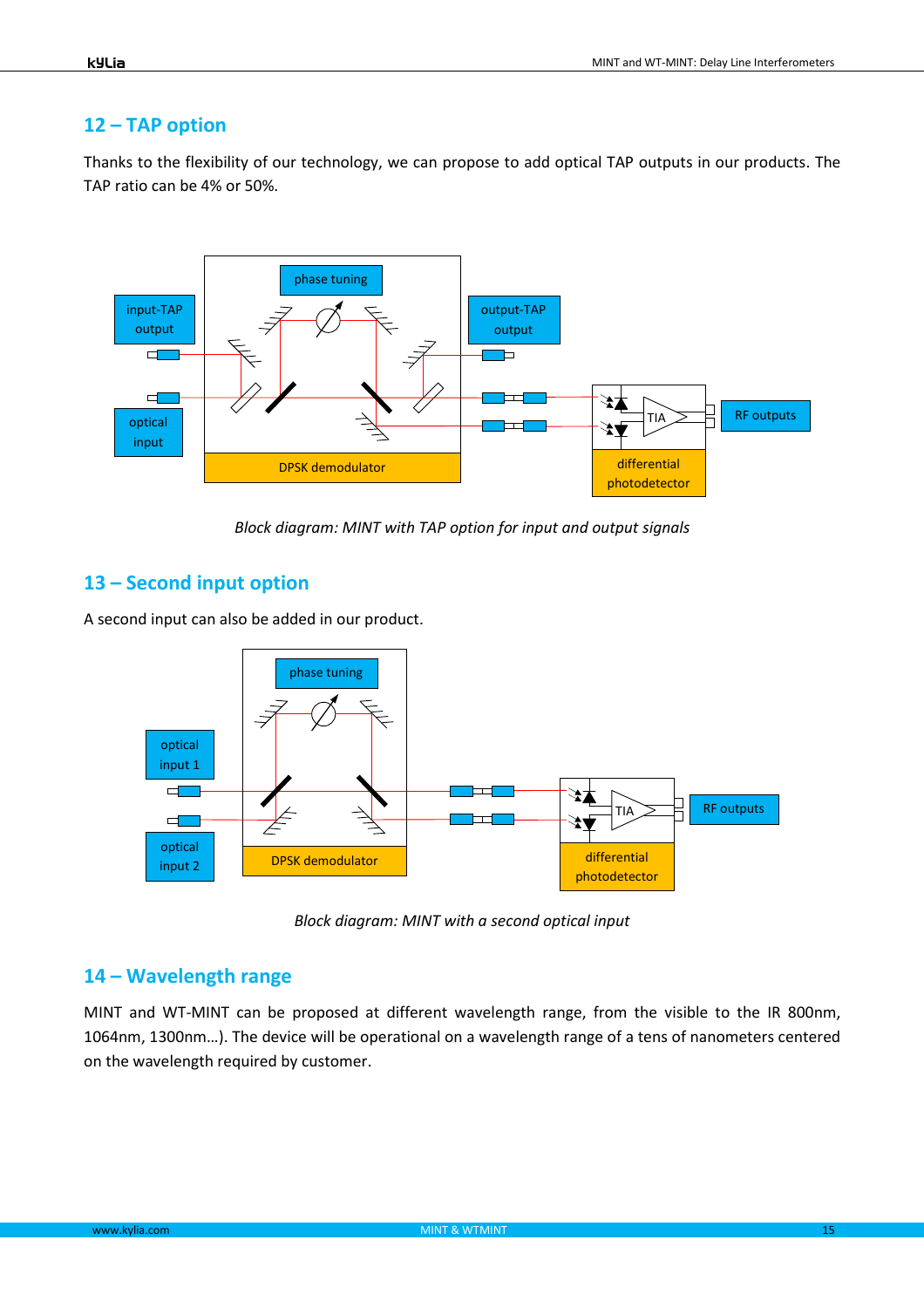#### **12 – TAP option**

Thanks to the flexibility of our technology, we can propose to add optical TAP outputs in our products. The TAP ratio can be 4% or 50%.



*Block diagram: MINT with TAP option for input and output signals* 

## **13 – Second input option**

A second input can also be added in our product.



*Block diagram: MINT with a second optical input* 

#### **14 – Wavelength range**

MINT and WT-MINT can be proposed at different wavelength range, from the visible to the IR 800nm, 1064nm, 1300nm…). The device will be operational on a wavelength range of a tens of nanometers centered on the wavelength required by customer.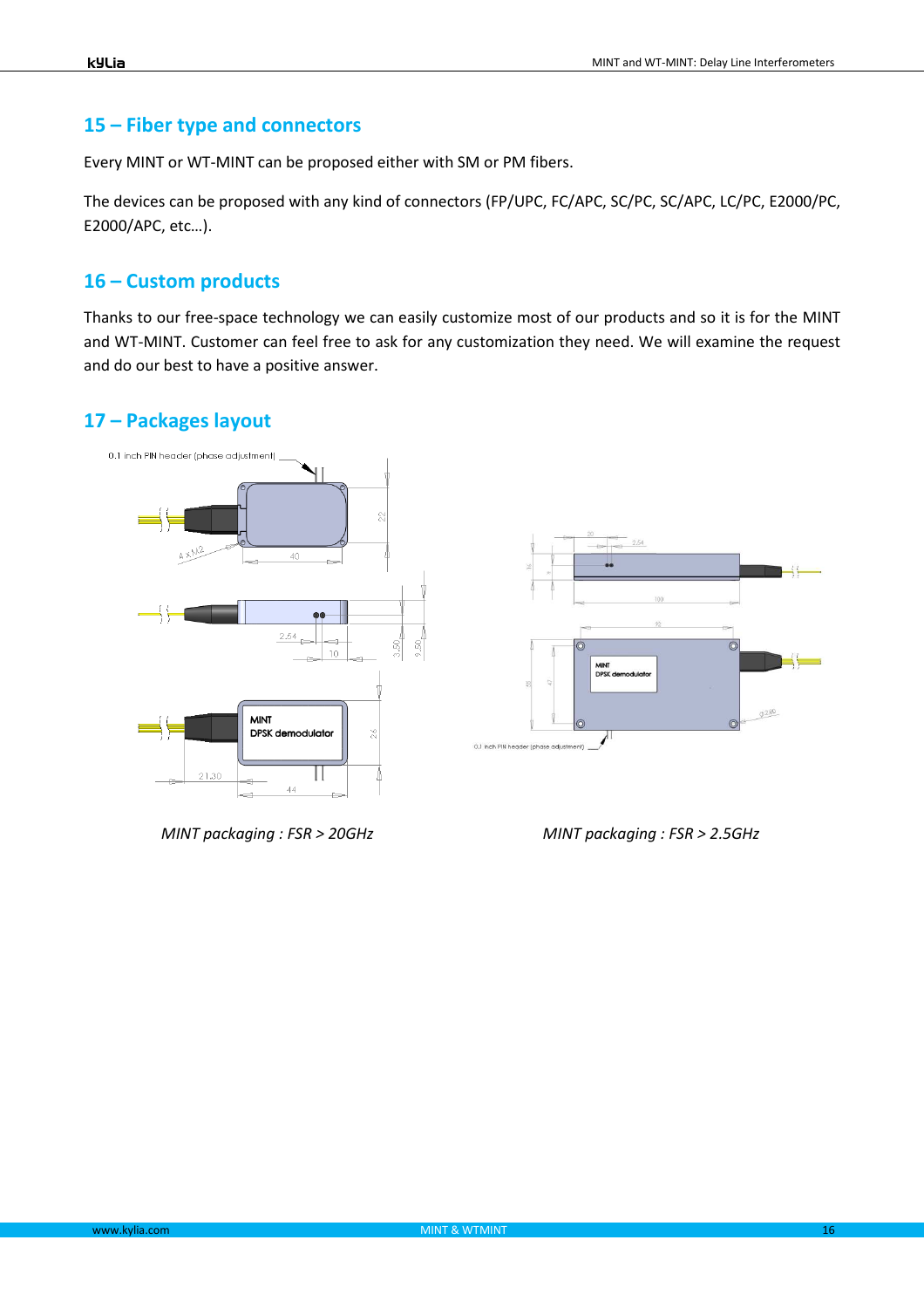#### **15 – Fiber type and connectors**

Every MINT or WT-MINT can be proposed either with SM or PM fibers.

The devices can be proposed with any kind of connectors (FP/UPC, FC/APC, SC/PC, SC/APC, LC/PC, E2000/PC, E2000/APC, etc…).

#### **16 – Custom products**

Thanks to our free-space technology we can easily customize most of our products and so it is for the MINT and WT-MINT. Customer can feel free to ask for any customization they need. We will examine the request and do our best to have a positive answer.

## **17 – Packages layout**



*MINT packaging : FSR > 20GHz MINT packaging : FSR > 2.5GHz*